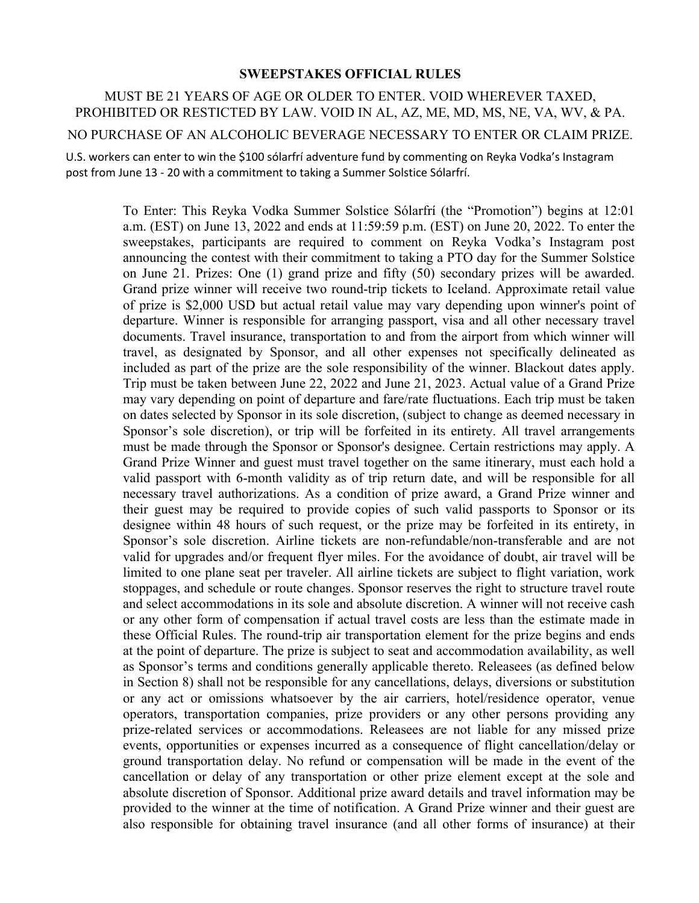## **SWEEPSTAKES OFFICIAL RULES**

MUST BE 21 YEARS OF AGE OR OLDER TO ENTER. VOID WHEREVER TAXED, PROHIBITED OR RESTICTED BY LAW. VOID IN AL, AZ, ME, MD, MS, NE, VA, WV, & PA. NO PURCHASE OF AN ALCOHOLIC BEVERAGE NECESSARY TO ENTER OR CLAIM PRIZE.

U.S. workers can enter to win the \$100 sólarfrí adventure fund by commenting on Reyka Vodka's Instagram post from June 13 - 20 with a commitment to taking a Summer Solstice Sólarfrí.

> To Enter: This Reyka Vodka Summer Solstice Sólarfrí (the "Promotion") begins at 12:01 a.m. (EST) on June 13, 2022 and ends at 11:59:59 p.m. (EST) on June 20, 2022. To enter the sweepstakes, participants are required to comment on Reyka Vodka's Instagram post announcing the contest with their commitment to taking a PTO day for the Summer Solstice on June 21. Prizes: One (1) grand prize and fifty (50) secondary prizes will be awarded. Grand prize winner will receive two round-trip tickets to Iceland. Approximate retail value of prize is \$2,000 USD but actual retail value may vary depending upon winner's point of departure. Winner is responsible for arranging passport, visa and all other necessary travel documents. Travel insurance, transportation to and from the airport from which winner will travel, as designated by Sponsor, and all other expenses not specifically delineated as included as part of the prize are the sole responsibility of the winner. Blackout dates apply. Trip must be taken between June 22, 2022 and June 21, 2023. Actual value of a Grand Prize may vary depending on point of departure and fare/rate fluctuations. Each trip must be taken on dates selected by Sponsor in its sole discretion, (subject to change as deemed necessary in Sponsor's sole discretion), or trip will be forfeited in its entirety. All travel arrangements must be made through the Sponsor or Sponsor's designee. Certain restrictions may apply. A Grand Prize Winner and guest must travel together on the same itinerary, must each hold a valid passport with 6-month validity as of trip return date, and will be responsible for all necessary travel authorizations. As a condition of prize award, a Grand Prize winner and their guest may be required to provide copies of such valid passports to Sponsor or its designee within 48 hours of such request, or the prize may be forfeited in its entirety, in Sponsor's sole discretion. Airline tickets are non-refundable/non-transferable and are not valid for upgrades and/or frequent flyer miles. For the avoidance of doubt, air travel will be limited to one plane seat per traveler. All airline tickets are subject to flight variation, work stoppages, and schedule or route changes. Sponsor reserves the right to structure travel route and select accommodations in its sole and absolute discretion. A winner will not receive cash or any other form of compensation if actual travel costs are less than the estimate made in these Official Rules. The round-trip air transportation element for the prize begins and ends at the point of departure. The prize is subject to seat and accommodation availability, as well as Sponsor's terms and conditions generally applicable thereto. Releasees (as defined below in Section 8) shall not be responsible for any cancellations, delays, diversions or substitution or any act or omissions whatsoever by the air carriers, hotel/residence operator, venue operators, transportation companies, prize providers or any other persons providing any prize-related services or accommodations. Releasees are not liable for any missed prize events, opportunities or expenses incurred as a consequence of flight cancellation/delay or ground transportation delay. No refund or compensation will be made in the event of the cancellation or delay of any transportation or other prize element except at the sole and absolute discretion of Sponsor. Additional prize award details and travel information may be provided to the winner at the time of notification. A Grand Prize winner and their guest are also responsible for obtaining travel insurance (and all other forms of insurance) at their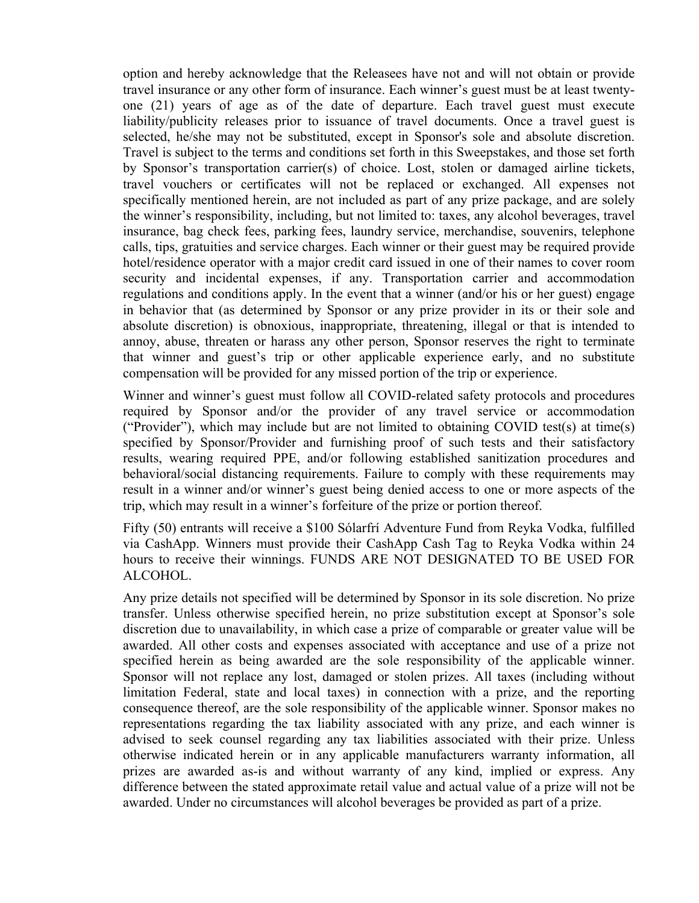option and hereby acknowledge that the Releasees have not and will not obtain or provide travel insurance or any other form of insurance. Each winner's guest must be at least twentyone (21) years of age as of the date of departure. Each travel guest must execute liability/publicity releases prior to issuance of travel documents. Once a travel guest is selected, he/she may not be substituted, except in Sponsor's sole and absolute discretion. Travel is subject to the terms and conditions set forth in this Sweepstakes, and those set forth by Sponsor's transportation carrier(s) of choice. Lost, stolen or damaged airline tickets, travel vouchers or certificates will not be replaced or exchanged. All expenses not specifically mentioned herein, are not included as part of any prize package, and are solely the winner's responsibility, including, but not limited to: taxes, any alcohol beverages, travel insurance, bag check fees, parking fees, laundry service, merchandise, souvenirs, telephone calls, tips, gratuities and service charges. Each winner or their guest may be required provide hotel/residence operator with a major credit card issued in one of their names to cover room security and incidental expenses, if any. Transportation carrier and accommodation regulations and conditions apply. In the event that a winner (and/or his or her guest) engage in behavior that (as determined by Sponsor or any prize provider in its or their sole and absolute discretion) is obnoxious, inappropriate, threatening, illegal or that is intended to annoy, abuse, threaten or harass any other person, Sponsor reserves the right to terminate that winner and guest's trip or other applicable experience early, and no substitute compensation will be provided for any missed portion of the trip or experience.

Winner and winner's guest must follow all COVID-related safety protocols and procedures required by Sponsor and/or the provider of any travel service or accommodation ("Provider"), which may include but are not limited to obtaining COVID test(s) at time(s) specified by Sponsor/Provider and furnishing proof of such tests and their satisfactory results, wearing required PPE, and/or following established sanitization procedures and behavioral/social distancing requirements. Failure to comply with these requirements may result in a winner and/or winner's guest being denied access to one or more aspects of the trip, which may result in a winner's forfeiture of the prize or portion thereof.

Fifty (50) entrants will receive a \$100 Sólarfrí Adventure Fund from Reyka Vodka, fulfilled via CashApp. Winners must provide their CashApp Cash Tag to Reyka Vodka within 24 hours to receive their winnings. FUNDS ARE NOT DESIGNATED TO BE USED FOR ALCOHOL.

Any prize details not specified will be determined by Sponsor in its sole discretion. No prize transfer. Unless otherwise specified herein, no prize substitution except at Sponsor's sole discretion due to unavailability, in which case a prize of comparable or greater value will be awarded. All other costs and expenses associated with acceptance and use of a prize not specified herein as being awarded are the sole responsibility of the applicable winner. Sponsor will not replace any lost, damaged or stolen prizes. All taxes (including without limitation Federal, state and local taxes) in connection with a prize, and the reporting consequence thereof, are the sole responsibility of the applicable winner. Sponsor makes no representations regarding the tax liability associated with any prize, and each winner is advised to seek counsel regarding any tax liabilities associated with their prize. Unless otherwise indicated herein or in any applicable manufacturers warranty information, all prizes are awarded as-is and without warranty of any kind, implied or express. Any difference between the stated approximate retail value and actual value of a prize will not be awarded. Under no circumstances will alcohol beverages be provided as part of a prize.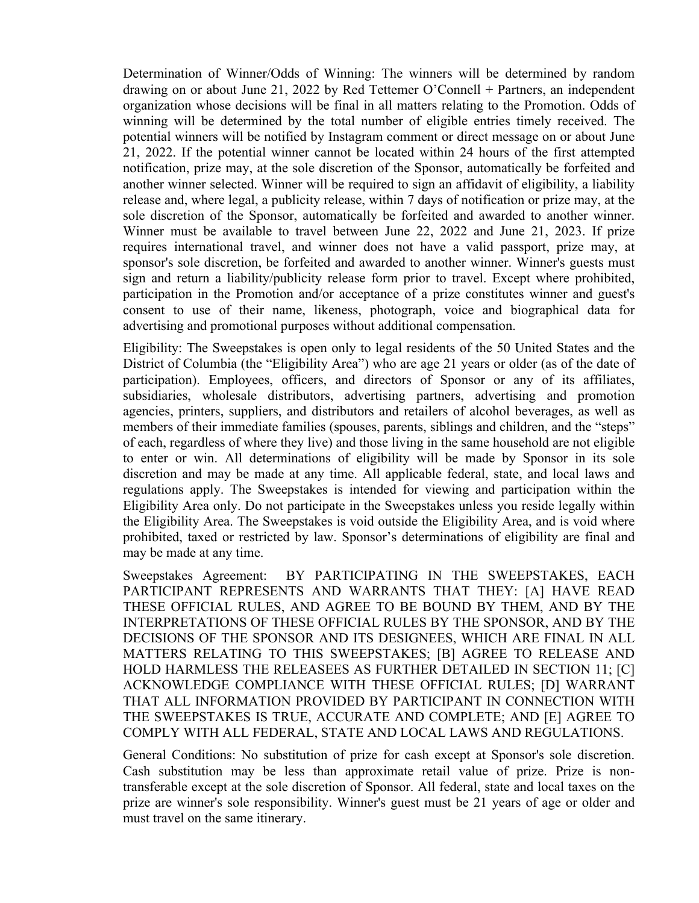Determination of Winner/Odds of Winning: The winners will be determined by random drawing on or about June 21, 2022 by Red Tettemer O'Connell + Partners, an independent organization whose decisions will be final in all matters relating to the Promotion. Odds of winning will be determined by the total number of eligible entries timely received. The potential winners will be notified by Instagram comment or direct message on or about June 21, 2022. If the potential winner cannot be located within 24 hours of the first attempted notification, prize may, at the sole discretion of the Sponsor, automatically be forfeited and another winner selected. Winner will be required to sign an affidavit of eligibility, a liability release and, where legal, a publicity release, within 7 days of notification or prize may, at the sole discretion of the Sponsor, automatically be forfeited and awarded to another winner. Winner must be available to travel between June 22, 2022 and June 21, 2023. If prize requires international travel, and winner does not have a valid passport, prize may, at sponsor's sole discretion, be forfeited and awarded to another winner. Winner's guests must sign and return a liability/publicity release form prior to travel. Except where prohibited, participation in the Promotion and/or acceptance of a prize constitutes winner and guest's consent to use of their name, likeness, photograph, voice and biographical data for advertising and promotional purposes without additional compensation.

Eligibility: The Sweepstakes is open only to legal residents of the 50 United States and the District of Columbia (the "Eligibility Area") who are age 21 years or older (as of the date of participation). Employees, officers, and directors of Sponsor or any of its affiliates, subsidiaries, wholesale distributors, advertising partners, advertising and promotion agencies, printers, suppliers, and distributors and retailers of alcohol beverages, as well as members of their immediate families (spouses, parents, siblings and children, and the "steps" of each, regardless of where they live) and those living in the same household are not eligible to enter or win. All determinations of eligibility will be made by Sponsor in its sole discretion and may be made at any time. All applicable federal, state, and local laws and regulations apply. The Sweepstakes is intended for viewing and participation within the Eligibility Area only. Do not participate in the Sweepstakes unless you reside legally within the Eligibility Area. The Sweepstakes is void outside the Eligibility Area, and is void where prohibited, taxed or restricted by law. Sponsor's determinations of eligibility are final and may be made at any time.

Sweepstakes Agreement: BY PARTICIPATING IN THE SWEEPSTAKES, EACH PARTICIPANT REPRESENTS AND WARRANTS THAT THEY: [A] HAVE READ THESE OFFICIAL RULES, AND AGREE TO BE BOUND BY THEM, AND BY THE INTERPRETATIONS OF THESE OFFICIAL RULES BY THE SPONSOR, AND BY THE DECISIONS OF THE SPONSOR AND ITS DESIGNEES, WHICH ARE FINAL IN ALL MATTERS RELATING TO THIS SWEEPSTAKES; [B] AGREE TO RELEASE AND HOLD HARMLESS THE RELEASEES AS FURTHER DETAILED IN SECTION 11; [C] ACKNOWLEDGE COMPLIANCE WITH THESE OFFICIAL RULES; [D] WARRANT THAT ALL INFORMATION PROVIDED BY PARTICIPANT IN CONNECTION WITH THE SWEEPSTAKES IS TRUE, ACCURATE AND COMPLETE; AND [E] AGREE TO COMPLY WITH ALL FEDERAL, STATE AND LOCAL LAWS AND REGULATIONS.

General Conditions: No substitution of prize for cash except at Sponsor's sole discretion. Cash substitution may be less than approximate retail value of prize. Prize is nontransferable except at the sole discretion of Sponsor. All federal, state and local taxes on the prize are winner's sole responsibility. Winner's guest must be 21 years of age or older and must travel on the same itinerary.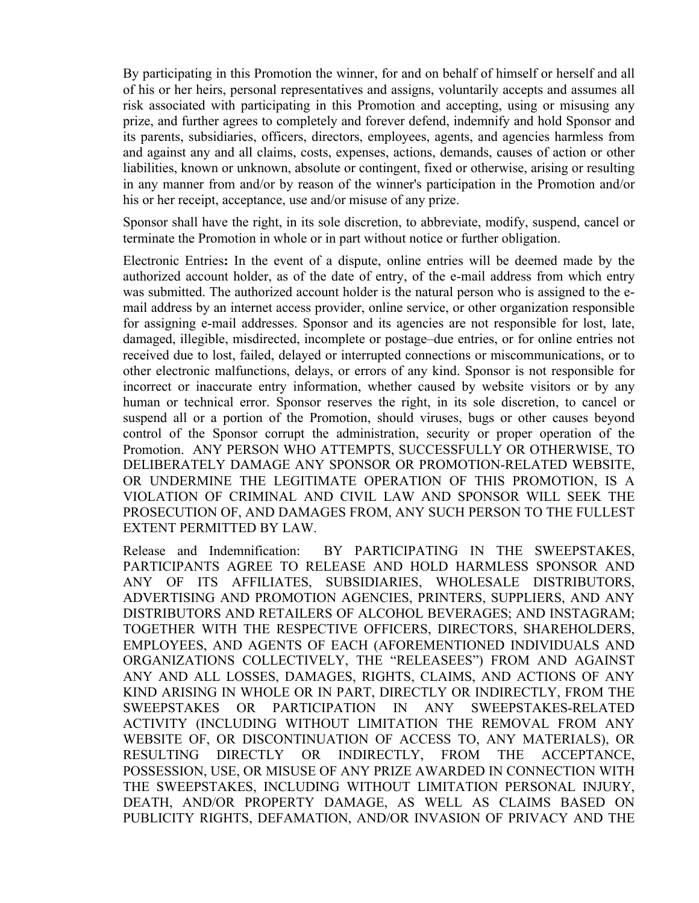By participating in this Promotion the winner, for and on behalf of himself or herself and all of his or her heirs, personal representatives and assigns, voluntarily accepts and assumes all risk associated with participating in this Promotion and accepting, using or misusing any prize, and further agrees to completely and forever defend, indemnify and hold Sponsor and its parents, subsidiaries, officers, directors, employees, agents, and agencies harmless from and against any and all claims, costs, expenses, actions, demands, causes of action or other liabilities, known or unknown, absolute or contingent, fixed or otherwise, arising or resulting in any manner from and/or by reason of the winner's participation in the Promotion and/or his or her receipt, acceptance, use and/or misuse of any prize.

Sponsor shall have the right, in its sole discretion, to abbreviate, modify, suspend, cancel or terminate the Promotion in whole or in part without notice or further obligation.

Electronic Entries**:** In the event of a dispute, online entries will be deemed made by the authorized account holder, as of the date of entry, of the e-mail address from which entry was submitted. The authorized account holder is the natural person who is assigned to the email address by an internet access provider, online service, or other organization responsible for assigning e-mail addresses. Sponsor and its agencies are not responsible for lost, late, damaged, illegible, misdirected, incomplete or postage–due entries, or for online entries not received due to lost, failed, delayed or interrupted connections or miscommunications, or to other electronic malfunctions, delays, or errors of any kind. Sponsor is not responsible for incorrect or inaccurate entry information, whether caused by website visitors or by any human or technical error. Sponsor reserves the right, in its sole discretion, to cancel or suspend all or a portion of the Promotion, should viruses, bugs or other causes beyond control of the Sponsor corrupt the administration, security or proper operation of the Promotion. ANY PERSON WHO ATTEMPTS, SUCCESSFULLY OR OTHERWISE, TO DELIBERATELY DAMAGE ANY SPONSOR OR PROMOTION-RELATED WEBSITE, OR UNDERMINE THE LEGITIMATE OPERATION OF THIS PROMOTION, IS A VIOLATION OF CRIMINAL AND CIVIL LAW AND SPONSOR WILL SEEK THE PROSECUTION OF, AND DAMAGES FROM, ANY SUCH PERSON TO THE FULLEST EXTENT PERMITTED BY LAW.

Release and Indemnification: BY PARTICIPATING IN THE SWEEPSTAKES, PARTICIPANTS AGREE TO RELEASE AND HOLD HARMLESS SPONSOR AND ANY OF ITS AFFILIATES, SUBSIDIARIES, WHOLESALE DISTRIBUTORS, ADVERTISING AND PROMOTION AGENCIES, PRINTERS, SUPPLIERS, AND ANY DISTRIBUTORS AND RETAILERS OF ALCOHOL BEVERAGES; AND INSTAGRAM; TOGETHER WITH THE RESPECTIVE OFFICERS, DIRECTORS, SHAREHOLDERS, EMPLOYEES, AND AGENTS OF EACH (AFOREMENTIONED INDIVIDUALS AND ORGANIZATIONS COLLECTIVELY, THE "RELEASEES") FROM AND AGAINST ANY AND ALL LOSSES, DAMAGES, RIGHTS, CLAIMS, AND ACTIONS OF ANY KIND ARISING IN WHOLE OR IN PART, DIRECTLY OR INDIRECTLY, FROM THE SWEEPSTAKES OR PARTICIPATION IN ANY SWEEPSTAKES-RELATED ACTIVITY (INCLUDING WITHOUT LIMITATION THE REMOVAL FROM ANY WEBSITE OF, OR DISCONTINUATION OF ACCESS TO, ANY MATERIALS), OR RESULTING DIRECTLY OR INDIRECTLY, FROM THE ACCEPTANCE, POSSESSION, USE, OR MISUSE OF ANY PRIZE AWARDED IN CONNECTION WITH THE SWEEPSTAKES, INCLUDING WITHOUT LIMITATION PERSONAL INJURY, DEATH, AND/OR PROPERTY DAMAGE, AS WELL AS CLAIMS BASED ON PUBLICITY RIGHTS, DEFAMATION, AND/OR INVASION OF PRIVACY AND THE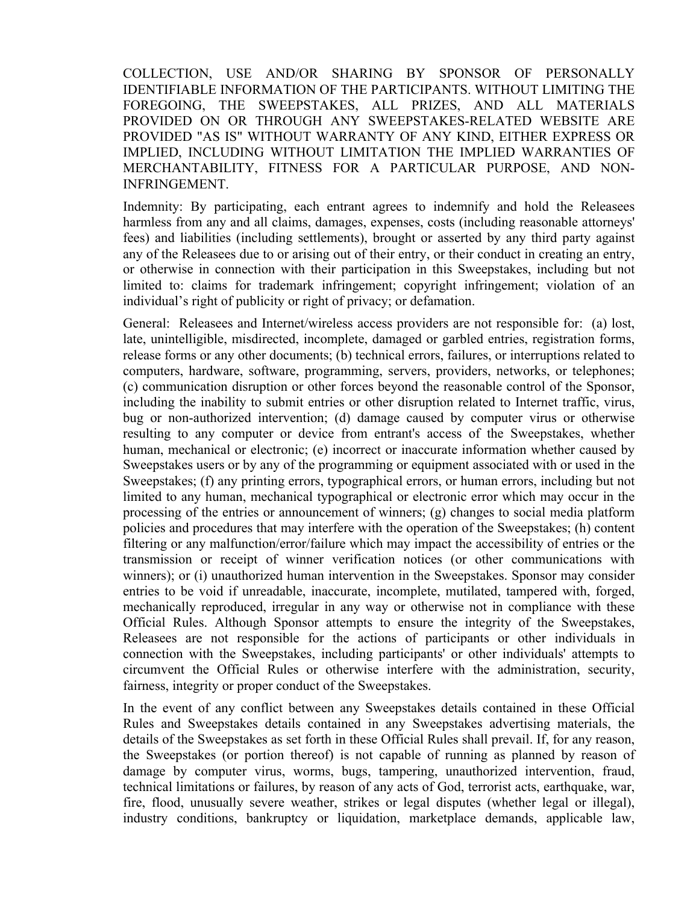COLLECTION, USE AND/OR SHARING BY SPONSOR OF PERSONALLY IDENTIFIABLE INFORMATION OF THE PARTICIPANTS. WITHOUT LIMITING THE FOREGOING, THE SWEEPSTAKES, ALL PRIZES, AND ALL MATERIALS PROVIDED ON OR THROUGH ANY SWEEPSTAKES-RELATED WEBSITE ARE PROVIDED "AS IS" WITHOUT WARRANTY OF ANY KIND, EITHER EXPRESS OR IMPLIED, INCLUDING WITHOUT LIMITATION THE IMPLIED WARRANTIES OF MERCHANTABILITY, FITNESS FOR A PARTICULAR PURPOSE, AND NON-INFRINGEMENT.

Indemnity: By participating, each entrant agrees to indemnify and hold the Releasees harmless from any and all claims, damages, expenses, costs (including reasonable attorneys' fees) and liabilities (including settlements), brought or asserted by any third party against any of the Releasees due to or arising out of their entry, or their conduct in creating an entry, or otherwise in connection with their participation in this Sweepstakes, including but not limited to: claims for trademark infringement; copyright infringement; violation of an individual's right of publicity or right of privacy; or defamation.

General: Releasees and Internet/wireless access providers are not responsible for: (a) lost, late, unintelligible, misdirected, incomplete, damaged or garbled entries, registration forms, release forms or any other documents; (b) technical errors, failures, or interruptions related to computers, hardware, software, programming, servers, providers, networks, or telephones; (c) communication disruption or other forces beyond the reasonable control of the Sponsor, including the inability to submit entries or other disruption related to Internet traffic, virus, bug or non-authorized intervention; (d) damage caused by computer virus or otherwise resulting to any computer or device from entrant's access of the Sweepstakes, whether human, mechanical or electronic; (e) incorrect or inaccurate information whether caused by Sweepstakes users or by any of the programming or equipment associated with or used in the Sweepstakes; (f) any printing errors, typographical errors, or human errors, including but not limited to any human, mechanical typographical or electronic error which may occur in the processing of the entries or announcement of winners; (g) changes to social media platform policies and procedures that may interfere with the operation of the Sweepstakes; (h) content filtering or any malfunction/error/failure which may impact the accessibility of entries or the transmission or receipt of winner verification notices (or other communications with winners); or (i) unauthorized human intervention in the Sweepstakes. Sponsor may consider entries to be void if unreadable, inaccurate, incomplete, mutilated, tampered with, forged, mechanically reproduced, irregular in any way or otherwise not in compliance with these Official Rules. Although Sponsor attempts to ensure the integrity of the Sweepstakes, Releasees are not responsible for the actions of participants or other individuals in connection with the Sweepstakes, including participants' or other individuals' attempts to circumvent the Official Rules or otherwise interfere with the administration, security, fairness, integrity or proper conduct of the Sweepstakes.

In the event of any conflict between any Sweepstakes details contained in these Official Rules and Sweepstakes details contained in any Sweepstakes advertising materials, the details of the Sweepstakes as set forth in these Official Rules shall prevail. If, for any reason, the Sweepstakes (or portion thereof) is not capable of running as planned by reason of damage by computer virus, worms, bugs, tampering, unauthorized intervention, fraud, technical limitations or failures, by reason of any acts of God, terrorist acts, earthquake, war, fire, flood, unusually severe weather, strikes or legal disputes (whether legal or illegal), industry conditions, bankruptcy or liquidation, marketplace demands, applicable law,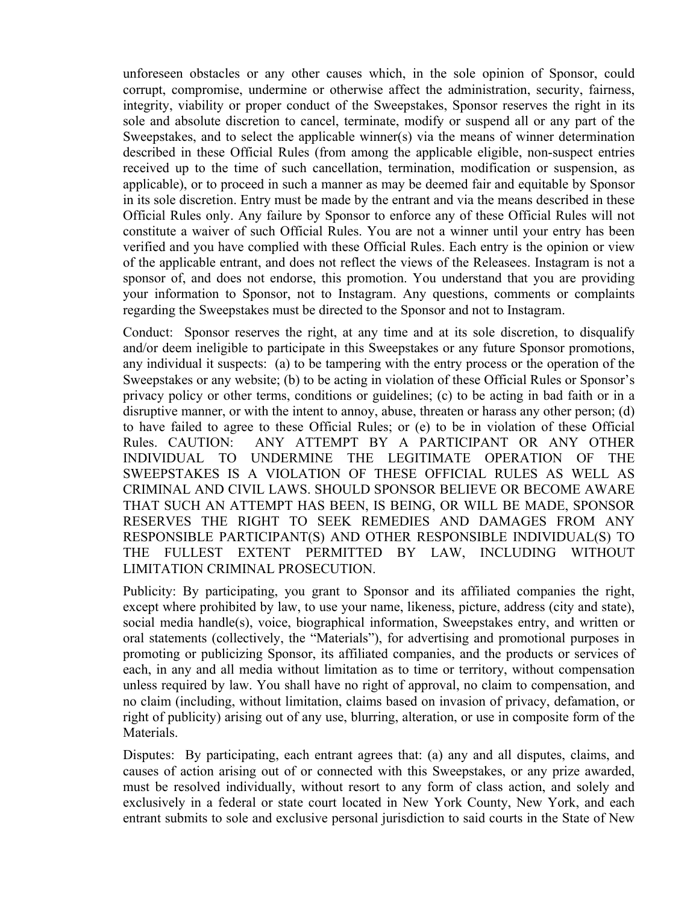unforeseen obstacles or any other causes which, in the sole opinion of Sponsor, could corrupt, compromise, undermine or otherwise affect the administration, security, fairness, integrity, viability or proper conduct of the Sweepstakes, Sponsor reserves the right in its sole and absolute discretion to cancel, terminate, modify or suspend all or any part of the Sweepstakes, and to select the applicable winner(s) via the means of winner determination described in these Official Rules (from among the applicable eligible, non-suspect entries received up to the time of such cancellation, termination, modification or suspension, as applicable), or to proceed in such a manner as may be deemed fair and equitable by Sponsor in its sole discretion. Entry must be made by the entrant and via the means described in these Official Rules only. Any failure by Sponsor to enforce any of these Official Rules will not constitute a waiver of such Official Rules. You are not a winner until your entry has been verified and you have complied with these Official Rules. Each entry is the opinion or view of the applicable entrant, and does not reflect the views of the Releasees. Instagram is not a sponsor of, and does not endorse, this promotion. You understand that you are providing your information to Sponsor, not to Instagram. Any questions, comments or complaints regarding the Sweepstakes must be directed to the Sponsor and not to Instagram.

Conduct: Sponsor reserves the right, at any time and at its sole discretion, to disqualify and/or deem ineligible to participate in this Sweepstakes or any future Sponsor promotions, any individual it suspects: (a) to be tampering with the entry process or the operation of the Sweepstakes or any website; (b) to be acting in violation of these Official Rules or Sponsor's privacy policy or other terms, conditions or guidelines; (c) to be acting in bad faith or in a disruptive manner, or with the intent to annoy, abuse, threaten or harass any other person; (d) to have failed to agree to these Official Rules; or (e) to be in violation of these Official Rules. CAUTION: ANY ATTEMPT BY A PARTICIPANT OR ANY OTHER INDIVIDUAL TO UNDERMINE THE LEGITIMATE OPERATION OF THE SWEEPSTAKES IS A VIOLATION OF THESE OFFICIAL RULES AS WELL AS CRIMINAL AND CIVIL LAWS. SHOULD SPONSOR BELIEVE OR BECOME AWARE THAT SUCH AN ATTEMPT HAS BEEN, IS BEING, OR WILL BE MADE, SPONSOR RESERVES THE RIGHT TO SEEK REMEDIES AND DAMAGES FROM ANY RESPONSIBLE PARTICIPANT(S) AND OTHER RESPONSIBLE INDIVIDUAL(S) TO THE FULLEST EXTENT PERMITTED BY LAW, INCLUDING WITHOUT LIMITATION CRIMINAL PROSECUTION.

Publicity: By participating, you grant to Sponsor and its affiliated companies the right, except where prohibited by law, to use your name, likeness, picture, address (city and state), social media handle(s), voice, biographical information, Sweepstakes entry, and written or oral statements (collectively, the "Materials"), for advertising and promotional purposes in promoting or publicizing Sponsor, its affiliated companies, and the products or services of each, in any and all media without limitation as to time or territory, without compensation unless required by law. You shall have no right of approval, no claim to compensation, and no claim (including, without limitation, claims based on invasion of privacy, defamation, or right of publicity) arising out of any use, blurring, alteration, or use in composite form of the Materials.

Disputes: By participating, each entrant agrees that: (a) any and all disputes, claims, and causes of action arising out of or connected with this Sweepstakes, or any prize awarded, must be resolved individually, without resort to any form of class action, and solely and exclusively in a federal or state court located in New York County, New York, and each entrant submits to sole and exclusive personal jurisdiction to said courts in the State of New